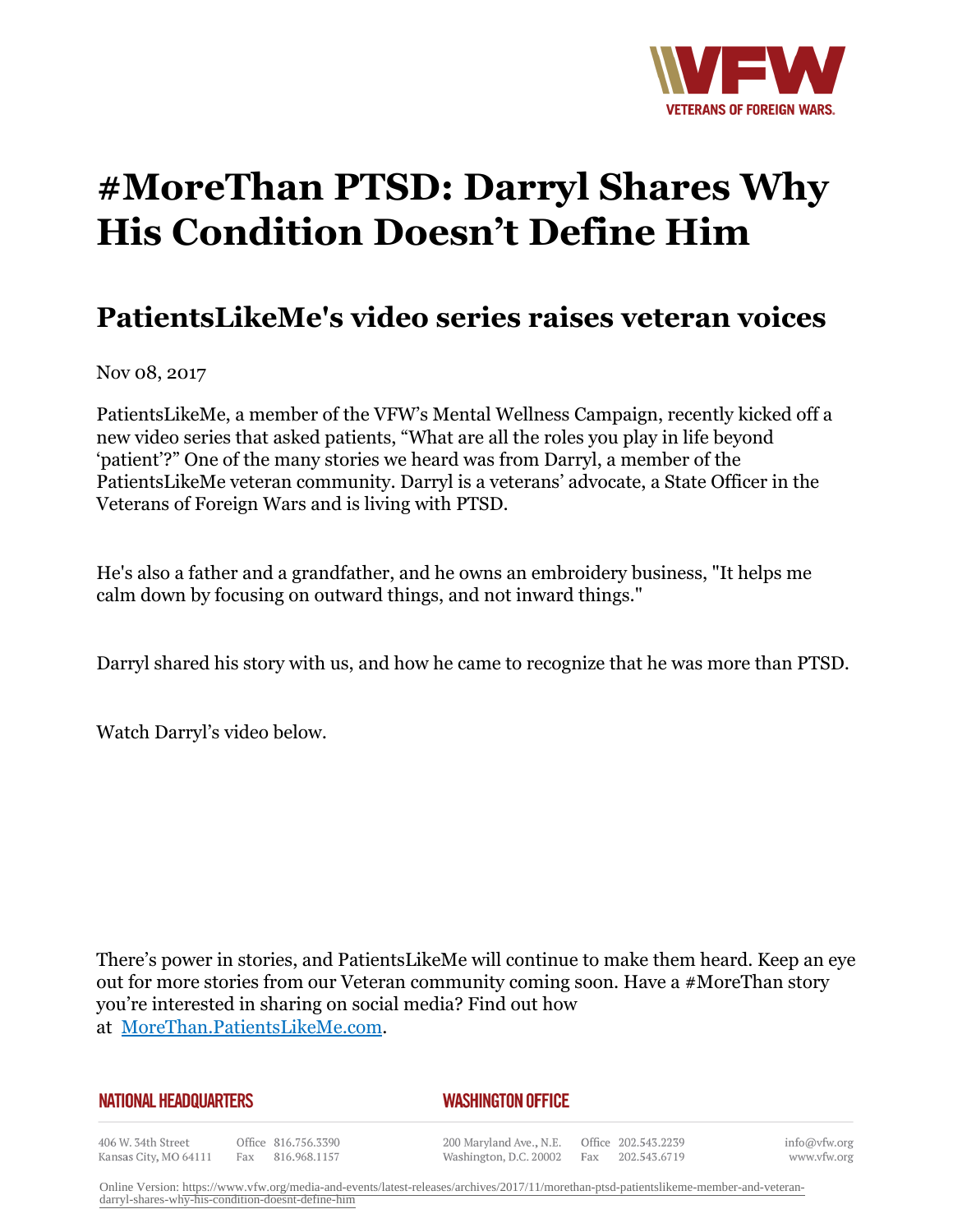

## **#MoreThan PTSD: Darryl Shares Why His Condition Doesn't Define Him**

## **PatientsLikeMe's video series raises veteran voices**

Nov 08, 2017

PatientsLikeMe, a member of the VFW's Mental Wellness Campaign, recently kicked off a new video series that asked patients, "What are all the roles you play in life beyond 'patient'?" One of the many stories we heard was from Darryl, a member of the PatientsLikeMe veteran community. Darryl is a veterans' advocate, a State Officer in the Veterans of Foreign Wars and is living with PTSD.

He's also a father and a grandfather, and he owns an embroidery business, "It helps me calm down by focusing on outward things, and not inward things."

Darryl shared his story with us, and how he came to recognize that he was more than PTSD.

Watch Darryl's video below.

There's power in stories, and PatientsLikeMe will continue to make them heard. Keep an eye out for more stories from our Veteran community coming soon. Have a #MoreThan story you're interested in sharing on social media? Find out how at MoreThan.PatientsLikeMe.com.

## *WASHINGTON OFFICE*

406 W. 34th Street Office 816.756.3390 Fax 816.968.1157 Kansas City, MO 64111

200 Maryland Ave., N.E. Washington, D.C. 20002

Office 202.543.2239 Fax 202.543.6719

info@vfw.org www.vfw.org

Online Version: [https://www.vfw.org/media-and-events/latest-releases/archives/2017/11/morethan-ptsd-patientslikeme-member-and-veteran](https://www.vfw.org/media-and-events/latest-releases/archives/2017/11/morethan-ptsd-patientslikeme-member-and-veteran-darryl-shares-why-his-condition-doesnt-define-him)[darryl-shares-why-his-condition-doesnt-define-him](https://www.vfw.org/media-and-events/latest-releases/archives/2017/11/morethan-ptsd-patientslikeme-member-and-veteran-darryl-shares-why-his-condition-doesnt-define-him)